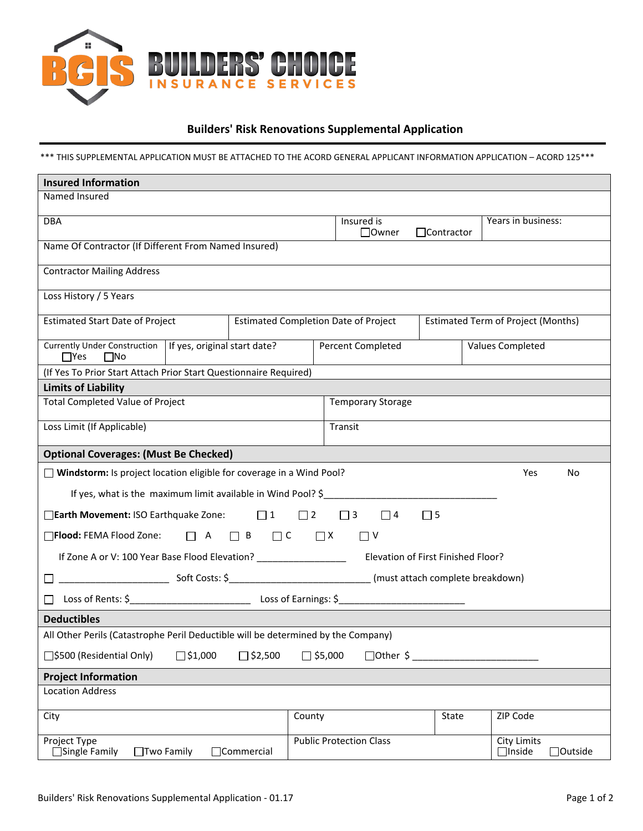

## **Builders' Risk Renovations Supplemental Application**

\*\*\* THIS SUPPLEMENTAL APPLICATION MUST BE ATTACHED TO THE ACORD GENERAL APPLICANT INFORMATION APPLICATION – ACORD 125\*\*\*

| <b>Insured Information</b>                                                                                           |                                             |                                                 |  |  |  |  |  |
|----------------------------------------------------------------------------------------------------------------------|---------------------------------------------|-------------------------------------------------|--|--|--|--|--|
| Named Insured                                                                                                        |                                             |                                                 |  |  |  |  |  |
| <b>DBA</b>                                                                                                           | Insured is<br>$\Box$ Owner                  | Years in business:<br>$\Box$ Contractor         |  |  |  |  |  |
| Name Of Contractor (If Different From Named Insured)                                                                 |                                             |                                                 |  |  |  |  |  |
| <b>Contractor Mailing Address</b>                                                                                    |                                             |                                                 |  |  |  |  |  |
| Loss History / 5 Years                                                                                               |                                             |                                                 |  |  |  |  |  |
| <b>Estimated Start Date of Project</b>                                                                               | <b>Estimated Completion Date of Project</b> | <b>Estimated Term of Project (Months)</b>       |  |  |  |  |  |
| Currently Under Construction   If yes, original start date?<br>$\Box$ Yes<br>$\square$ No                            | Percent Completed                           | Values Completed                                |  |  |  |  |  |
| (If Yes To Prior Start Attach Prior Start Questionnaire Required)                                                    |                                             |                                                 |  |  |  |  |  |
| <b>Limits of Liability</b>                                                                                           |                                             |                                                 |  |  |  |  |  |
| <b>Total Completed Value of Project</b>                                                                              | <b>Temporary Storage</b>                    |                                                 |  |  |  |  |  |
| Loss Limit (If Applicable)                                                                                           | Transit                                     |                                                 |  |  |  |  |  |
| <b>Optional Coverages: (Must Be Checked)</b>                                                                         |                                             |                                                 |  |  |  |  |  |
| □ Windstorm: Is project location eligible for coverage in a Wind Pool?                                               |                                             | Yes<br>No                                       |  |  |  |  |  |
| If yes, what is the maximum limit available in Wind Pool? \$                                                         |                                             |                                                 |  |  |  |  |  |
| □ Earth Movement: ISO Earthquake Zone: □ 1<br>$\Box$ 2<br>$\Box$ 3<br>$\Box$ 4<br>$\Box$ 5                           |                                             |                                                 |  |  |  |  |  |
| $\Box$ Flood: FEMA Flood Zone: $\Box$ A $\Box$ B $\Box$ C $\Box$ X                                                   | □ ∨                                         |                                                 |  |  |  |  |  |
| If Zone A or V: 100 Year Base Flood Elevation? __________________________________ Elevation of First Finished Floor? |                                             |                                                 |  |  |  |  |  |
|                                                                                                                      |                                             |                                                 |  |  |  |  |  |
|                                                                                                                      |                                             |                                                 |  |  |  |  |  |
| <b>Deductibles</b>                                                                                                   |                                             |                                                 |  |  |  |  |  |
| All Other Perils (Catastrophe Peril Deductible will be determined by the Company)                                    |                                             |                                                 |  |  |  |  |  |
| □\$500 (Residential Only)<br>$\Box$ \$1,000<br>$\Box$ \$2,500<br>$\Box$ \$5,000<br>$\Box$ Other \$                   |                                             |                                                 |  |  |  |  |  |
| <b>Project Information</b>                                                                                           |                                             |                                                 |  |  |  |  |  |
| <b>Location Address</b>                                                                                              |                                             |                                                 |  |  |  |  |  |
| City                                                                                                                 | County                                      | ZIP Code<br>State                               |  |  |  |  |  |
| <b>Project Type</b><br>$\Box$ Commercial<br>$\Box$ Single Family<br>$\Box$ Two Family                                | <b>Public Protection Class</b>              | <b>City Limits</b><br>$\Box$ Inside<br>□Outside |  |  |  |  |  |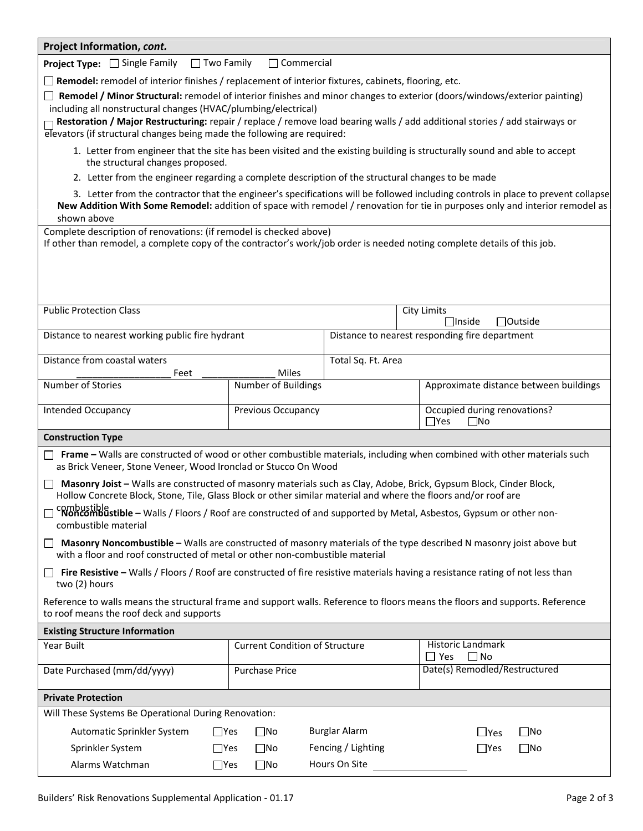| Project Information, cont.                                                                                                                                                                                                                                                       |                                                                                                                                 |                      |                                                                                                                                                                                                                                                                   |  |  |  |  |
|----------------------------------------------------------------------------------------------------------------------------------------------------------------------------------------------------------------------------------------------------------------------------------|---------------------------------------------------------------------------------------------------------------------------------|----------------------|-------------------------------------------------------------------------------------------------------------------------------------------------------------------------------------------------------------------------------------------------------------------|--|--|--|--|
| Project Type: □ Single Family<br>$\Box$ Two Family                                                                                                                                                                                                                               | $\Box$ Commercial                                                                                                               |                      |                                                                                                                                                                                                                                                                   |  |  |  |  |
| $\Box$ Remodel: remodel of interior finishes / replacement of interior fixtures, cabinets, flooring, etc.                                                                                                                                                                        |                                                                                                                                 |                      |                                                                                                                                                                                                                                                                   |  |  |  |  |
|                                                                                                                                                                                                                                                                                  | $\Box$ Remodel / Minor Structural: remodel of interior finishes and minor changes to exterior (doors/windows/exterior painting) |                      |                                                                                                                                                                                                                                                                   |  |  |  |  |
| including all nonstructural changes (HVAC/plumbing/electrical)<br>Restoration / Major Restructuring: repair / replace / remove load bearing walls / add additional stories / add stairways or                                                                                    |                                                                                                                                 |                      |                                                                                                                                                                                                                                                                   |  |  |  |  |
| elevators (if structural changes being made the following are required:                                                                                                                                                                                                          |                                                                                                                                 |                      |                                                                                                                                                                                                                                                                   |  |  |  |  |
|                                                                                                                                                                                                                                                                                  |                                                                                                                                 |                      | 1. Letter from engineer that the site has been visited and the existing building is structurally sound and able to accept                                                                                                                                         |  |  |  |  |
| the structural changes proposed.                                                                                                                                                                                                                                                 |                                                                                                                                 |                      |                                                                                                                                                                                                                                                                   |  |  |  |  |
| 2. Letter from the engineer regarding a complete description of the structural changes to be made                                                                                                                                                                                |                                                                                                                                 |                      |                                                                                                                                                                                                                                                                   |  |  |  |  |
| shown above                                                                                                                                                                                                                                                                      |                                                                                                                                 |                      | 3. Letter from the contractor that the engineer's specifications will be followed including controls in place to prevent collapse<br>New Addition With Some Remodel: addition of space with remodel / renovation for tie in purposes only and interior remodel as |  |  |  |  |
| Complete description of renovations: (if remodel is checked above)                                                                                                                                                                                                               |                                                                                                                                 |                      |                                                                                                                                                                                                                                                                   |  |  |  |  |
| If other than remodel, a complete copy of the contractor's work/job order is needed noting complete details of this job.                                                                                                                                                         |                                                                                                                                 |                      |                                                                                                                                                                                                                                                                   |  |  |  |  |
|                                                                                                                                                                                                                                                                                  |                                                                                                                                 |                      |                                                                                                                                                                                                                                                                   |  |  |  |  |
|                                                                                                                                                                                                                                                                                  |                                                                                                                                 |                      |                                                                                                                                                                                                                                                                   |  |  |  |  |
|                                                                                                                                                                                                                                                                                  |                                                                                                                                 |                      |                                                                                                                                                                                                                                                                   |  |  |  |  |
| <b>Public Protection Class</b>                                                                                                                                                                                                                                                   |                                                                                                                                 |                      | <b>City Limits</b><br>□Outside<br>$\Box$ Inside                                                                                                                                                                                                                   |  |  |  |  |
| Distance to nearest working public fire hydrant                                                                                                                                                                                                                                  |                                                                                                                                 |                      | Distance to nearest responding fire department                                                                                                                                                                                                                    |  |  |  |  |
|                                                                                                                                                                                                                                                                                  |                                                                                                                                 |                      |                                                                                                                                                                                                                                                                   |  |  |  |  |
| Distance from coastal waters<br>Feet                                                                                                                                                                                                                                             | Miles                                                                                                                           | Total Sq. Ft. Area   |                                                                                                                                                                                                                                                                   |  |  |  |  |
| Number of Stories                                                                                                                                                                                                                                                                | Number of Buildings                                                                                                             |                      | Approximate distance between buildings                                                                                                                                                                                                                            |  |  |  |  |
| <b>Intended Occupancy</b>                                                                                                                                                                                                                                                        | Previous Occupancy                                                                                                              |                      | Occupied during renovations?                                                                                                                                                                                                                                      |  |  |  |  |
|                                                                                                                                                                                                                                                                                  |                                                                                                                                 |                      | $\Box$ Yes<br>$\square$ No                                                                                                                                                                                                                                        |  |  |  |  |
| <b>Construction Type</b>                                                                                                                                                                                                                                                         |                                                                                                                                 |                      |                                                                                                                                                                                                                                                                   |  |  |  |  |
| as Brick Veneer, Stone Veneer, Wood Ironclad or Stucco On Wood                                                                                                                                                                                                                   |                                                                                                                                 |                      | Frame - Walls are constructed of wood or other combustible materials, including when combined with other materials such                                                                                                                                           |  |  |  |  |
| Masonry Joist - Walls are constructed of masonry materials such as Clay, Adobe, Brick, Gypsum Block, Cinder Block,                                                                                                                                                               |                                                                                                                                 |                      |                                                                                                                                                                                                                                                                   |  |  |  |  |
| Hollow Concrete Block, Stone, Tile, Glass Block or other similar material and where the floors and/or roof are<br>combustible<br><b>Noncombustible –</b> Walls / Floors / Roof are constructed of and supported by Metal, Asbestos, Gypsum or other non-<br>combustible material |                                                                                                                                 |                      |                                                                                                                                                                                                                                                                   |  |  |  |  |
| Masonry Noncombustible - Walls are constructed of masonry materials of the type described N masonry joist above but<br>with a floor and roof constructed of metal or other non-combustible material                                                                              |                                                                                                                                 |                      |                                                                                                                                                                                                                                                                   |  |  |  |  |
| $\Box$ Fire Resistive – Walls / Floors / Roof are constructed of fire resistive materials having a resistance rating of not less than<br>two (2) hours                                                                                                                           |                                                                                                                                 |                      |                                                                                                                                                                                                                                                                   |  |  |  |  |
| Reference to walls means the structural frame and support walls. Reference to floors means the floors and supports. Reference<br>to roof means the roof deck and supports                                                                                                        |                                                                                                                                 |                      |                                                                                                                                                                                                                                                                   |  |  |  |  |
| <b>Existing Structure Information</b>                                                                                                                                                                                                                                            |                                                                                                                                 |                      |                                                                                                                                                                                                                                                                   |  |  |  |  |
| Year Built                                                                                                                                                                                                                                                                       | <b>Current Condition of Structure</b>                                                                                           |                      | <b>Historic Landmark</b>                                                                                                                                                                                                                                          |  |  |  |  |
|                                                                                                                                                                                                                                                                                  |                                                                                                                                 |                      | $\Box$ No<br>$\Box$ Yes                                                                                                                                                                                                                                           |  |  |  |  |
| Date Purchased (mm/dd/yyyy)                                                                                                                                                                                                                                                      | <b>Purchase Price</b>                                                                                                           |                      | Date(s) Remodled/Restructured                                                                                                                                                                                                                                     |  |  |  |  |
| <b>Private Protection</b>                                                                                                                                                                                                                                                        |                                                                                                                                 |                      |                                                                                                                                                                                                                                                                   |  |  |  |  |
| Will These Systems Be Operational During Renovation:                                                                                                                                                                                                                             |                                                                                                                                 |                      |                                                                                                                                                                                                                                                                   |  |  |  |  |
| Automatic Sprinkler System<br>$\Box$ Yes                                                                                                                                                                                                                                         | $\square$ No                                                                                                                    | <b>Burglar Alarm</b> | $\square$ No<br>$\Box$ Yes                                                                                                                                                                                                                                        |  |  |  |  |
| Sprinkler System<br>$\Box$ Yes                                                                                                                                                                                                                                                   | $\square$ No                                                                                                                    | Fencing / Lighting   | $\square$ No<br>$\Box$ Yes                                                                                                                                                                                                                                        |  |  |  |  |
| Hours On Site<br>Alarms Watchman<br>$\Box$ Yes<br>$\square$ No                                                                                                                                                                                                                   |                                                                                                                                 |                      |                                                                                                                                                                                                                                                                   |  |  |  |  |